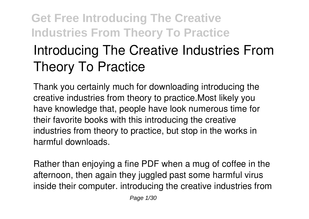# **Introducing The Creative Industries From Theory To Practice**

Thank you certainly much for downloading **introducing the creative industries from theory to practice**.Most likely you have knowledge that, people have look numerous time for their favorite books with this introducing the creative industries from theory to practice, but stop in the works in harmful downloads.

Rather than enjoying a fine PDF when a mug of coffee in the afternoon, then again they juggled past some harmful virus inside their computer. **introducing the creative industries from**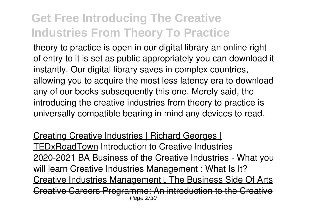**theory to practice** is open in our digital library an online right of entry to it is set as public appropriately you can download it instantly. Our digital library saves in complex countries, allowing you to acquire the most less latency era to download any of our books subsequently this one. Merely said, the introducing the creative industries from theory to practice is universally compatible bearing in mind any devices to read.

Creating Creative Industries | Richard Georges | TEDxRoadTown Introduction to Creative Industries 2020-2021 BA Business of the Creative Industries - What you will learn *Creative Industries Management : What Is It?* Creative Industries Management II The Business Side Of Arts Creative Careers Programme: An introduction to the Creative Page 2/30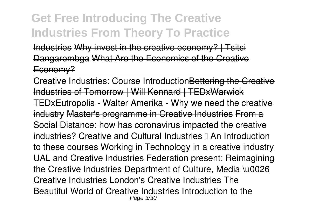Industries Why invest in the creative economy? | Tsitsi Dangarembga What Are the Fronomics of the Creative Economy?

Creative Industries: Course IntroductionBettering the Creative Industries of Tomorrow | Will Kennard | TEDxWarwick TEDxEutropolis - Walter Amerika - Why we need the creative industry Master's programme in Creative Industries From a Social Distance: how has coronavirus impacted the creative industries? *Creative and Cultural Industries – An Introduction to these courses* Working in Technology in a creative industry UAL and Creative Industries Federation present: Reimagining the Creative Industries Department of Culture, Media \u0026 Creative Industries *London's Creative Industries The Beautiful World of Creative Industries* **Introduction to the** Page 3/30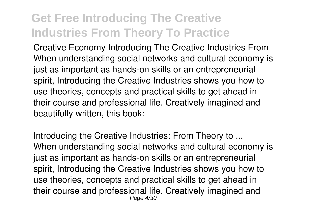**Creative Economy** *Introducing The Creative Industries From* When understanding social networks and cultural economy is just as important as hands-on skills or an entrepreneurial spirit, Introducing the Creative Industries shows you how to use theories, concepts and practical skills to get ahead in their course and professional life. Creatively imagined and beautifully written, this book:

*Introducing the Creative Industries: From Theory to ...* When understanding social networks and cultural economy is just as important as hands-on skills or an entrepreneurial spirit, Introducing the Creative Industries shows you how to use theories, concepts and practical skills to get ahead in their course and professional life. Creatively imagined and Page 4/30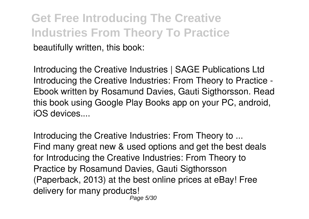**Get Free Introducing The Creative Industries From Theory To Practice** beautifully written, this book:

*Introducing the Creative Industries | SAGE Publications Ltd* Introducing the Creative Industries: From Theory to Practice - Ebook written by Rosamund Davies, Gauti Sigthorsson. Read this book using Google Play Books app on your PC, android, iOS devices....

*Introducing the Creative Industries: From Theory to ...* Find many great new & used options and get the best deals for Introducing the Creative Industries: From Theory to Practice by Rosamund Davies, Gauti Sigthorsson (Paperback, 2013) at the best online prices at eBay! Free delivery for many products! Page 5/30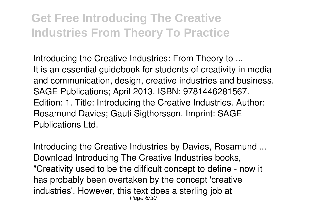*Introducing the Creative Industries: From Theory to ...* It is an essential guidebook for students of creativity in media and communication, design, creative industries and business. SAGE Publications; April 2013. ISBN: 9781446281567. Edition: 1. Title: Introducing the Creative Industries. Author: Rosamund Davies; Gauti Sigthorsson. Imprint: SAGE Publications Ltd.

*Introducing the Creative Industries by Davies, Rosamund ...* Download Introducing The Creative Industries books, "Creativity used to be the difficult concept to define - now it has probably been overtaken by the concept 'creative industries'. However, this text does a sterling job at Page 6/30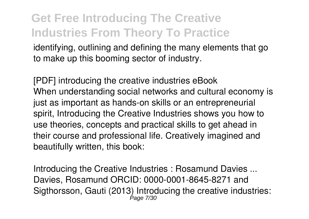identifying, outlining and defining the many elements that go to make up this booming sector of industry.

*[PDF] introducing the creative industries eBook* When understanding social networks and cultural economy is just as important as hands-on skills or an entrepreneurial spirit, Introducing the Creative Industries shows you how to use theories, concepts and practical skills to get ahead in their course and professional life. Creatively imagined and beautifully written, this book:

*Introducing the Creative Industries : Rosamund Davies ...* Davies, Rosamund ORCID: 0000-0001-8645-8271 and Sigthorsson, Gauti (2013) Introducing the creative industries: Page 7/30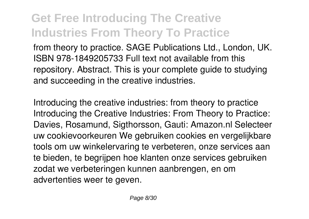from theory to practice. SAGE Publications Ltd., London, UK. ISBN 978-1849205733 Full text not available from this repository. Abstract. This is your complete guide to studying and succeeding in the creative industries.

*Introducing the creative industries: from theory to practice* Introducing the Creative Industries: From Theory to Practice: Davies, Rosamund, Sigthorsson, Gauti: Amazon.nl Selecteer uw cookievoorkeuren We gebruiken cookies en vergelijkbare tools om uw winkelervaring te verbeteren, onze services aan te bieden, te begrijpen hoe klanten onze services gebruiken zodat we verbeteringen kunnen aanbrengen, en om advertenties weer te geven.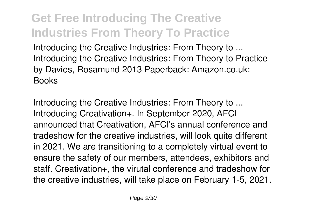*Introducing the Creative Industries: From Theory to ...* Introducing the Creative Industries: From Theory to Practice by Davies, Rosamund 2013 Paperback: Amazon.co.uk: **Books** 

*Introducing the Creative Industries: From Theory to ...* Introducing Creativation+. In September 2020, AFCI announced that Creativation, AFCI's annual conference and tradeshow for the creative industries, will look quite different in 2021. We are transitioning to a completely virtual event to ensure the safety of our members, attendees, exhibitors and staff. Creativation+, the virutal conference and tradeshow for the creative industries, will take place on February 1-5, 2021.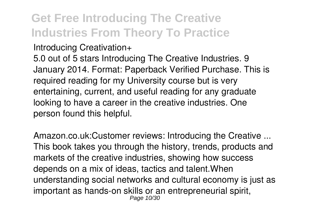#### *Introducing Creativation+*

5.0 out of 5 stars Introducing The Creative Industries. 9 January 2014. Format: Paperback Verified Purchase. This is required reading for my University course but is very entertaining, current, and useful reading for any graduate looking to have a career in the creative industries. One person found this helpful.

*Amazon.co.uk:Customer reviews: Introducing the Creative ...* This book takes you through the history, trends, products and markets of the creative industries, showing how success depends on a mix of ideas, tactics and talent.When understanding social networks and cultural economy is just as important as hands-on skills or an entrepreneurial spirit, Page 10/30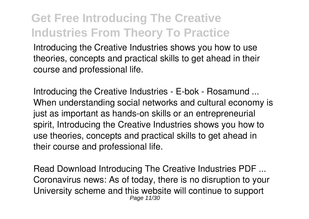Introducing the Creative Industries shows you how to use theories, concepts and practical skills to get ahead in their course and professional life.

*Introducing the Creative Industries - E-bok - Rosamund ...* When understanding social networks and cultural economy is just as important as hands-on skills or an entrepreneurial spirit, Introducing the Creative Industries shows you how to use theories, concepts and practical skills to get ahead in their course and professional life.

*Read Download Introducing The Creative Industries PDF ...* Coronavirus news: As of today, there is no disruption to your University scheme and this website will continue to support Page 11/30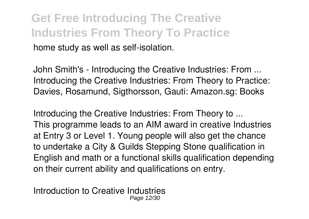#### **Get Free Introducing The Creative Industries From Theory To Practice** home study as well as self-isolation.

*John Smith's - Introducing the Creative Industries: From ...* Introducing the Creative Industries: From Theory to Practice: Davies, Rosamund, Sigthorsson, Gauti: Amazon.sg: Books

*Introducing the Creative Industries: From Theory to ...* This programme leads to an AIM award in creative Industries at Entry 3 or Level 1. Young people will also get the chance to undertake a City & Guilds Stepping Stone qualification in English and math or a functional skills qualification depending on their current ability and qualifications on entry.

*Introduction to Creative Industries* Page 12/30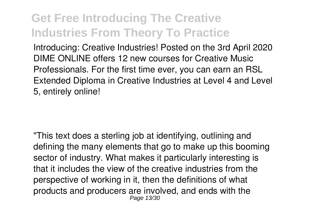Introducing: Creative Industries! Posted on the 3rd April 2020 DIME ONLINE offers 12 new courses for Creative Music Professionals. For the first time ever, you can earn an RSL Extended Diploma in Creative Industries at Level 4 and Level 5, entirely online!

"This text does a sterling job at identifying, outlining and defining the many elements that go to make up this booming sector of industry. What makes it particularly interesting is that it includes the view of the creative industries from the perspective of working in it, then the definitions of what products and producers are involved, and ends with the Page 13/30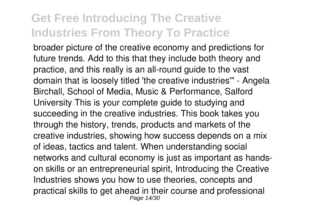broader picture of the creative economy and predictions for future trends. Add to this that they include both theory and practice, and this really is an all-round guide to the vast domain that is loosely titled 'the creative industries'" - Angela Birchall, School of Media, Music & Performance, Salford University This is your complete guide to studying and succeeding in the creative industries. This book takes you through the history, trends, products and markets of the creative industries, showing how success depends on a mix of ideas, tactics and talent. When understanding social networks and cultural economy is just as important as handson skills or an entrepreneurial spirit, Introducing the Creative Industries shows you how to use theories, concepts and practical skills to get ahead in their course and professional Page 14/30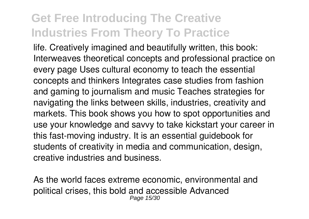life. Creatively imagined and beautifully written, this book: Interweaves theoretical concepts and professional practice on every page Uses cultural economy to teach the essential concepts and thinkers Integrates case studies from fashion and gaming to journalism and music Teaches strategies for navigating the links between skills, industries, creativity and markets. This book shows you how to spot opportunities and use your knowledge and savvy to take kickstart your career in this fast-moving industry. It is an essential guidebook for students of creativity in media and communication, design, creative industries and business.

As the world faces extreme economic, environmental and political crises, this bold and accessible Advanced Page 15/30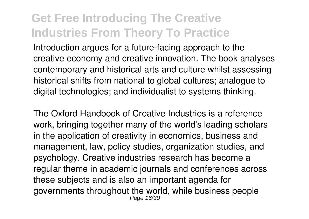Introduction argues for a future-facing approach to the creative economy and creative innovation. The book analyses contemporary and historical arts and culture whilst assessing historical shifts from national to global cultures; analogue to digital technologies; and individualist to systems thinking.

The Oxford Handbook of Creative Industries is a reference work, bringing together many of the world's leading scholars in the application of creativity in economics, business and management, law, policy studies, organization studies, and psychology. Creative industries research has become a regular theme in academic journals and conferences across these subjects and is also an important agenda for governments throughout the world, while business people Page 16/30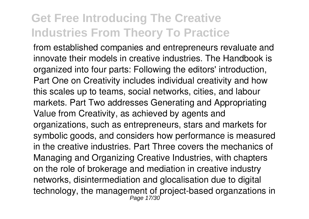from established companies and entrepreneurs revaluate and innovate their models in creative industries. The Handbook is organized into four parts: Following the editors' introduction, Part One on Creativity includes individual creativity and how this scales up to teams, social networks, cities, and labour markets. Part Two addresses Generating and Appropriating Value from Creativity, as achieved by agents and organizations, such as entrepreneurs, stars and markets for symbolic goods, and considers how performance is measured in the creative industries. Part Three covers the mechanics of Managing and Organizing Creative Industries, with chapters on the role of brokerage and mediation in creative industry networks, disintermediation and glocalisation due to digital technology, the management of project-based organzations in<br>Page 17/30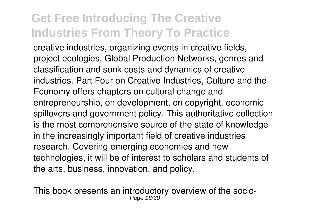creative industries, organizing events in creative fields, project ecologies, Global Production Networks, genres and classification and sunk costs and dynamics of creative industries. Part Four on Creative Industries, Culture and the Economy offers chapters on cultural change and entrepreneurship, on development, on copyright, economic spillovers and government policy. This authoritative collection is the most comprehensive source of the state of knowledge in the increasingly important field of creative industries research. Covering emerging economies and new technologies, it will be of interest to scholars and students of the arts, business, innovation, and policy.

This book presents an introductory overview of the socio-Page 18/30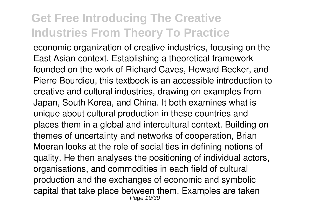economic organization of creative industries, focusing on the East Asian context. Establishing a theoretical framework founded on the work of Richard Caves, Howard Becker, and Pierre Bourdieu, this textbook is an accessible introduction to creative and cultural industries, drawing on examples from Japan, South Korea, and China. It both examines what is unique about cultural production in these countries and places them in a global and intercultural context. Building on themes of uncertainty and networks of cooperation, Brian Moeran looks at the role of social ties in defining notions of quality. He then analyses the positioning of individual actors, organisations, and commodities in each field of cultural production and the exchanges of economic and symbolic capital that take place between them. Examples are taken Page 19/30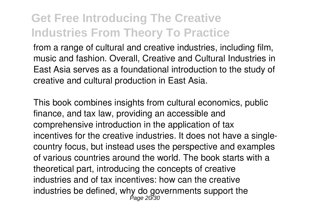from a range of cultural and creative industries, including film, music and fashion. Overall, Creative and Cultural Industries in East Asia serves as a foundational introduction to the study of creative and cultural production in East Asia.

This book combines insights from cultural economics, public finance, and tax law, providing an accessible and comprehensive introduction in the application of tax incentives for the creative industries. It does not have a singlecountry focus, but instead uses the perspective and examples of various countries around the world. The book starts with a theoretical part, introducing the concepts of creative industries and of tax incentives: how can the creative industries be defined, why do governments support the  $_{\tiny{\sf Page\,20/30}}$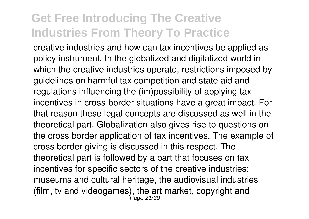creative industries and how can tax incentives be applied as policy instrument. In the globalized and digitalized world in which the creative industries operate, restrictions imposed by guidelines on harmful tax competition and state aid and regulations influencing the (im)possibility of applying tax incentives in cross-border situations have a great impact. For that reason these legal concepts are discussed as well in the theoretical part. Globalization also gives rise to questions on the cross border application of tax incentives. The example of cross border giving is discussed in this respect. The theoretical part is followed by a part that focuses on tax incentives for specific sectors of the creative industries: museums and cultural heritage, the audiovisual industries (film, tv and videogames), the art market, copyright and<br>Page 21/30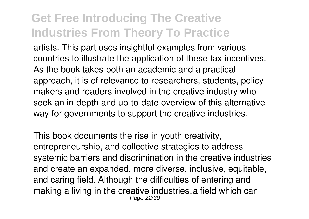artists. This part uses insightful examples from various countries to illustrate the application of these tax incentives. As the book takes both an academic and a practical approach, it is of relevance to researchers, students, policy makers and readers involved in the creative industry who seek an in-depth and up-to-date overview of this alternative way for governments to support the creative industries.

This book documents the rise in youth creativity, entrepreneurship, and collective strategies to address systemic barriers and discrimination in the creative industries and create an expanded, more diverse, inclusive, equitable, and caring field. Although the difficulties of entering and making a living in the creative industries<sup>[]</sup> a field which can Page 22/30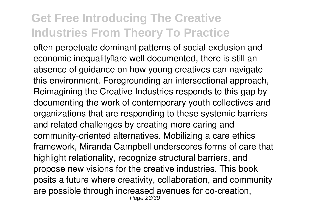often perpetuate dominant patterns of social exclusion and economic inequality are well documented, there is still an absence of guidance on how young creatives can navigate this environment. Foregrounding an intersectional approach, Reimagining the Creative Industries responds to this gap by documenting the work of contemporary youth collectives and organizations that are responding to these systemic barriers and related challenges by creating more caring and community-oriented alternatives. Mobilizing a care ethics framework, Miranda Campbell underscores forms of care that highlight relationality, recognize structural barriers, and propose new visions for the creative industries. This book posits a future where creativity, collaboration, and community are possible through increased avenues for co-creation, Page 23/30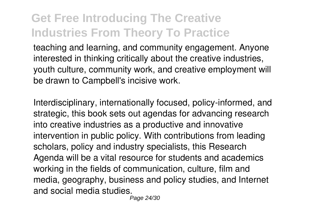teaching and learning, and community engagement. Anyone interested in thinking critically about the creative industries, youth culture, community work, and creative employment will be drawn to Campbell's incisive work.

Interdisciplinary, internationally focused, policy-informed, and strategic, this book sets out agendas for advancing research into creative industries as a productive and innovative intervention in public policy. With contributions from leading scholars, policy and industry specialists, this Research Agenda will be a vital resource for students and academics working in the fields of communication, culture, film and media, geography, business and policy studies, and Internet and social media studies.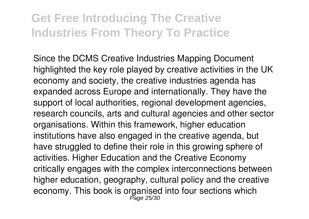Since the DCMS Creative Industries Mapping Document highlighted the key role played by creative activities in the UK economy and society, the creative industries agenda has expanded across Europe and internationally. They have the support of local authorities, regional development agencies, research councils, arts and cultural agencies and other sector organisations. Within this framework, higher education institutions have also engaged in the creative agenda, but have struggled to define their role in this growing sphere of activities. Higher Education and the Creative Economy critically engages with the complex interconnections between higher education, geography, cultural policy and the creative economy. This book is organised into four sections which<br><sup>Page 25/30</sup>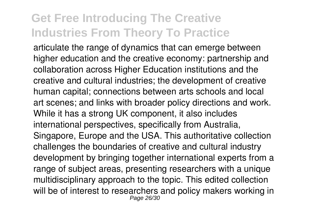articulate the range of dynamics that can emerge between higher education and the creative economy: partnership and collaboration across Higher Education institutions and the creative and cultural industries; the development of creative human capital; connections between arts schools and local art scenes; and links with broader policy directions and work. While it has a strong UK component, it also includes international perspectives, specifically from Australia, Singapore, Europe and the USA. This authoritative collection challenges the boundaries of creative and cultural industry development by bringing together international experts from a range of subject areas, presenting researchers with a unique multidisciplinary approach to the topic. This edited collection will be of interest to researchers and policy makers working in Page 26/30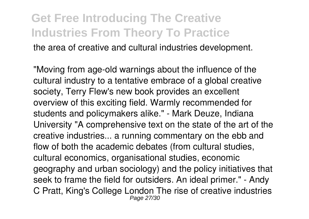the area of creative and cultural industries development.

"Moving from age-old warnings about the influence of the cultural industry to a tentative embrace of a global creative society, Terry Flew's new book provides an excellent overview of this exciting field. Warmly recommended for students and policymakers alike." - Mark Deuze, Indiana University "A comprehensive text on the state of the art of the creative industries... a running commentary on the ebb and flow of both the academic debates (from cultural studies, cultural economics, organisational studies, economic geography and urban sociology) and the policy initiatives that seek to frame the field for outsiders. An ideal primer." - Andy C Pratt, King's College London The rise of creative industries Page 27/30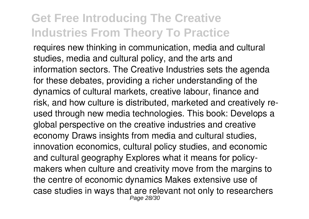requires new thinking in communication, media and cultural studies, media and cultural policy, and the arts and information sectors. The Creative Industries sets the agenda for these debates, providing a richer understanding of the dynamics of cultural markets, creative labour, finance and risk, and how culture is distributed, marketed and creatively reused through new media technologies. This book: Develops a global perspective on the creative industries and creative economy Draws insights from media and cultural studies, innovation economics, cultural policy studies, and economic and cultural geography Explores what it means for policymakers when culture and creativity move from the margins to the centre of economic dynamics Makes extensive use of case studies in ways that are relevant not only to researchers Page 28/30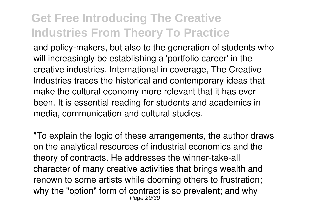and policy-makers, but also to the generation of students who will increasingly be establishing a 'portfolio career' in the creative industries. International in coverage, The Creative Industries traces the historical and contemporary ideas that make the cultural economy more relevant that it has ever been. It is essential reading for students and academics in media, communication and cultural studies.

"To explain the logic of these arrangements, the author draws on the analytical resources of industrial economics and the theory of contracts. He addresses the winner-take-all character of many creative activities that brings wealth and renown to some artists while dooming others to frustration; why the "option" form of contract is so prevalent; and why Page 29/30